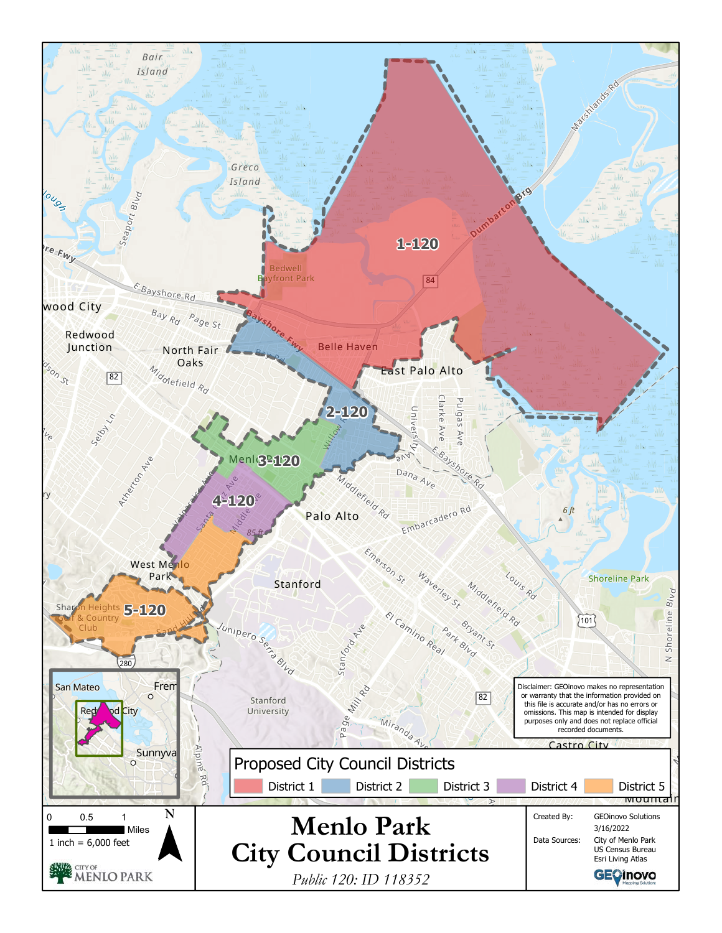